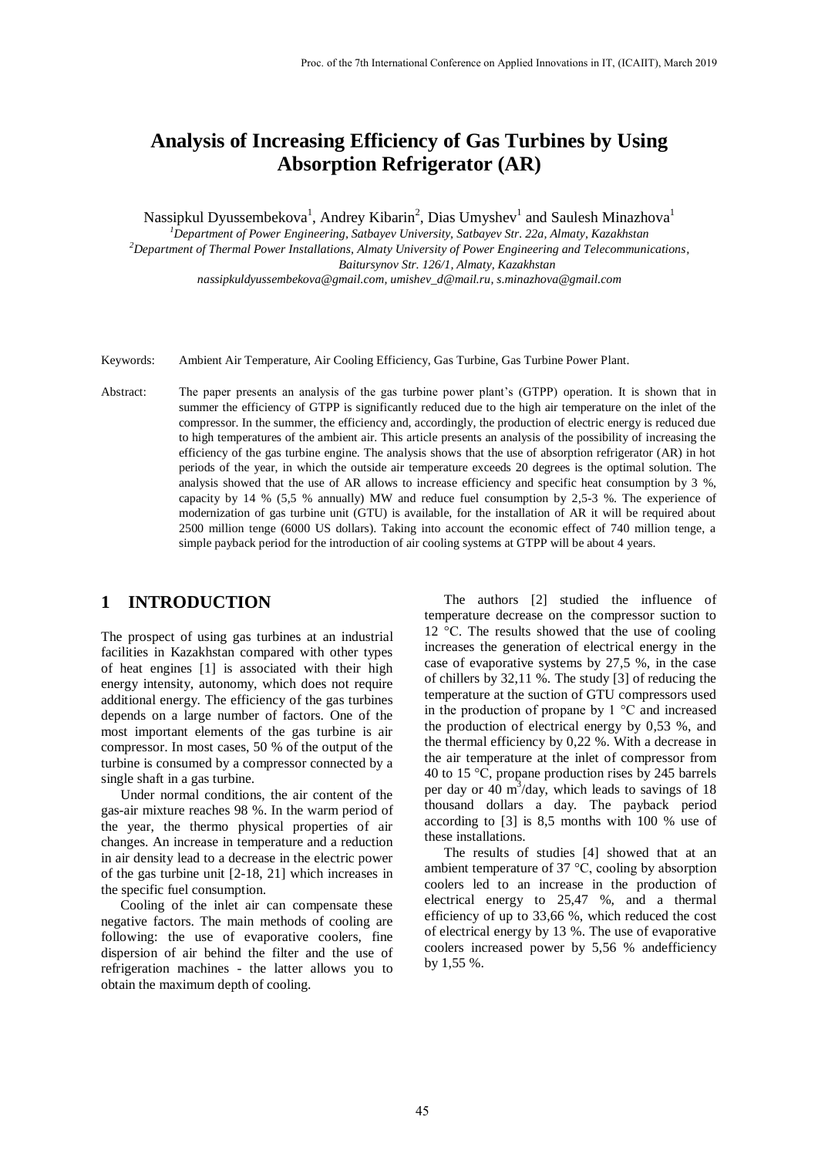# **Analysis of Increasing Efficiency of Gas Turbines by Using Absorption Refrigerator (AR)**

Nassipkul Dyussembekova<sup>1</sup>, Andrey Kibarin<sup>2</sup>, Dias Umyshev<sup>1</sup> and Saulesh Minazhova<sup>1</sup>

*<sup>1</sup>Department of Power Engineering, Satbayev University, Satbayev Str. 22a, Almaty, Kazakhstan <sup>2</sup>Department of Thermal Power Installations, Almaty University of Power Engineering and Telecommunications,* 

*Baitursynov Str. 126/1, Almaty, Kazakhstan*

*nassipkuldyussembekova@gmail.com, umishev\_d@mail.ru, s.minazhova@gmail.com*

- Keywords: Ambient Air Temperature, Air Cooling Efficiency, Gas Turbine, Gas Turbine Power Plant.
- Abstract: The paper presents an analysis of the gas turbine power plant's (GTPP) operation. It is shown that in summer the efficiency of GTPP is significantly reduced due to the high air temperature on the inlet of the compressor. In the summer, the efficiency and, accordingly, the production of electric energy is reduced due to high temperatures of the ambient air. This article presents an analysis of the possibility of increasing the efficiency of the gas turbine engine. The analysis shows that the use of absorption refrigerator (AR) in hot periods of the year, in which the outside air temperature exceeds 20 degrees is the optimal solution. The analysis showed that the use of AR allows to increase efficiency and specific heat consumption by 3 %, capacity by 14 %  $(5.5 \%$  annually) MW and reduce fuel consumption by 2,5-3 %. The experience of modernization of gas turbine unit (GTU) is available, for the installation of AR it will be required about 2500 million tenge (6000 US dollars). Taking into account the economic effect of 740 million tenge, a simple payback period for the introduction of air cooling systems at GTPP will be about 4 years.

#### **1 INTRODUCTION**

The prospect of using gas turbines at an industrial facilities in Kazakhstan compared with other types of heat engines [1] is associated with their high energy intensity, autonomy, which does not require additional energy. The efficiency of the gas turbines depends on a large number of factors. One of the most important elements of the gas turbine is air compressor. In most cases, 50 % of the output of the turbine is consumed by a compressor connected by a single shaft in a gas turbine.

Under normal conditions, the air content of the gas-air mixture reaches 98 %. In the warm period of the year, the thermo physical properties of air changes. An increase in temperature and a reduction in air density lead to a decrease in the electric power of the gas turbine unit [2-18, 21] which increases in the specific fuel consumption.

Cooling of the inlet air can compensate these negative factors. The main methods of cooling are following: the use of evaporative coolers, fine dispersion of air behind the filter and the use of refrigeration machines - the latter allows you to obtain the maximum depth of cooling.

The authors [2] studied the influence of temperature decrease on the compressor suction to 12 °C. The results showed that the use of cooling increases the generation of electrical energy in the case of evaporative systems by 27,5 %, in the case of chillers by 32,11 %. The study [3] of reducing the temperature at the suction of GTU compressors used in the production of propane by 1 °C and increased the production of electrical energy by 0,53 %, and the thermal efficiency by 0,22 %. With a decrease in the air temperature at the inlet of compressor from 40 to 15 °С, propane production rises by 245 barrels per day or  $40 \text{ m}^3$ /day, which leads to savings of 18 thousand dollars a day. The payback period according to [3] is 8,5 months with 100 % use of these installations.

The results of studies [4] showed that at an ambient temperature of 37 °C, cooling by absorption coolers led to an increase in the production of electrical energy to 25,47 %, and a thermal efficiency of up to 33,66 %, which reduced the cost of electrical energy by 13 %. The use of evaporative coolers increased power by 5,56 % andefficiency by 1,55 %.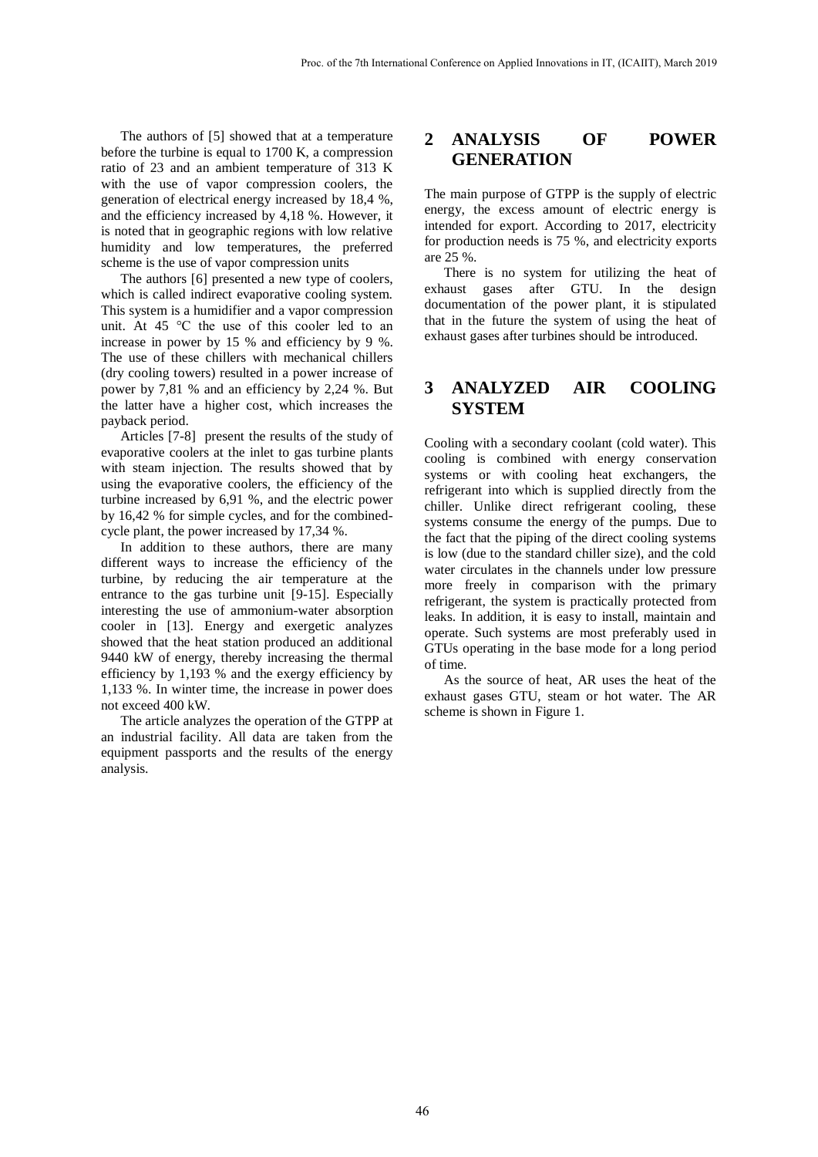The authors of [5] showed that at a temperature before the turbine is equal to 1700 K, a compression ratio of 23 and an ambient temperature of 313 K with the use of vapor compression coolers, the generation of electrical energy increased by 18,4 %, and the efficiency increased by 4,18 %. However, it is noted that in geographic regions with low relative humidity and low temperatures, the preferred scheme is the use of vapor compression units

The authors [6] presented a new type of coolers, which is called indirect evaporative cooling system. This system is a humidifier and a vapor compression unit. At 45 °C the use of this cooler led to an increase in power by 15 % and efficiency by 9 %. The use of these chillers with mechanical chillers (dry cooling towers) resulted in a power increase of power by 7,81 % and an efficiency by 2,24 %. But the latter have a higher cost, which increases the payback period.

Articles [7-8] present the results of the study of evaporative coolers at the inlet to gas turbine plants with steam injection. The results showed that by using the evaporative coolers, the efficiency of the turbine increased by 6,91 %, and the electric power by 16,42 % for simple cycles, and for the combinedcycle plant, the power increased by 17,34 %.

In addition to these authors, there are many different ways to increase the efficiency of the turbine, by reducing the air temperature at the entrance to the gas turbine unit [9-15]. Especially interesting the use of ammonium-water absorption cooler in [13]. Energy and exergetic analyzes showed that the heat station produced an additional 9440 kW of energy, thereby increasing the thermal efficiency by 1,193 % and the exergy efficiency by 1,133 %. In winter time, the increase in power does not exceed 400 kW.

The article analyzes the operation of the GTPP at an industrial facility. All data are taken from the equipment passports and the results of the energy analysis.

#### **2 ANALYSIS OF POWER GENERATION**

The main purpose of GTPP is the supply of electric energy, the excess amount of electric energy is intended for export. According to 2017, electricity for production needs is 75 %, and electricity exports are 25 %.

There is no system for utilizing the heat of exhaust gases after GTU. In the design documentation of the power plant, it is stipulated that in the future the system of using the heat of exhaust gases after turbines should be introduced.

# **3 ANALYZED AIR COOLING SYSTEM**

Cooling with a secondary coolant (cold water). This cooling is combined with energy conservation systems or with cooling heat exchangers, the refrigerant into which is supplied directly from the chiller. Unlike direct refrigerant cooling, these systems consume the energy of the pumps. Due to the fact that the piping of the direct cooling systems is low (due to the standard chiller size), and the cold water circulates in the channels under low pressure more freely in comparison with the primary refrigerant, the system is practically protected from leaks. In addition, it is easy to install, maintain and operate. Such systems are most preferably used in GTUs operating in the base mode for a long period of time.

As the source of heat, AR uses the heat of the exhaust gases GTU, steam or hot water. The AR scheme is shown in Figure 1.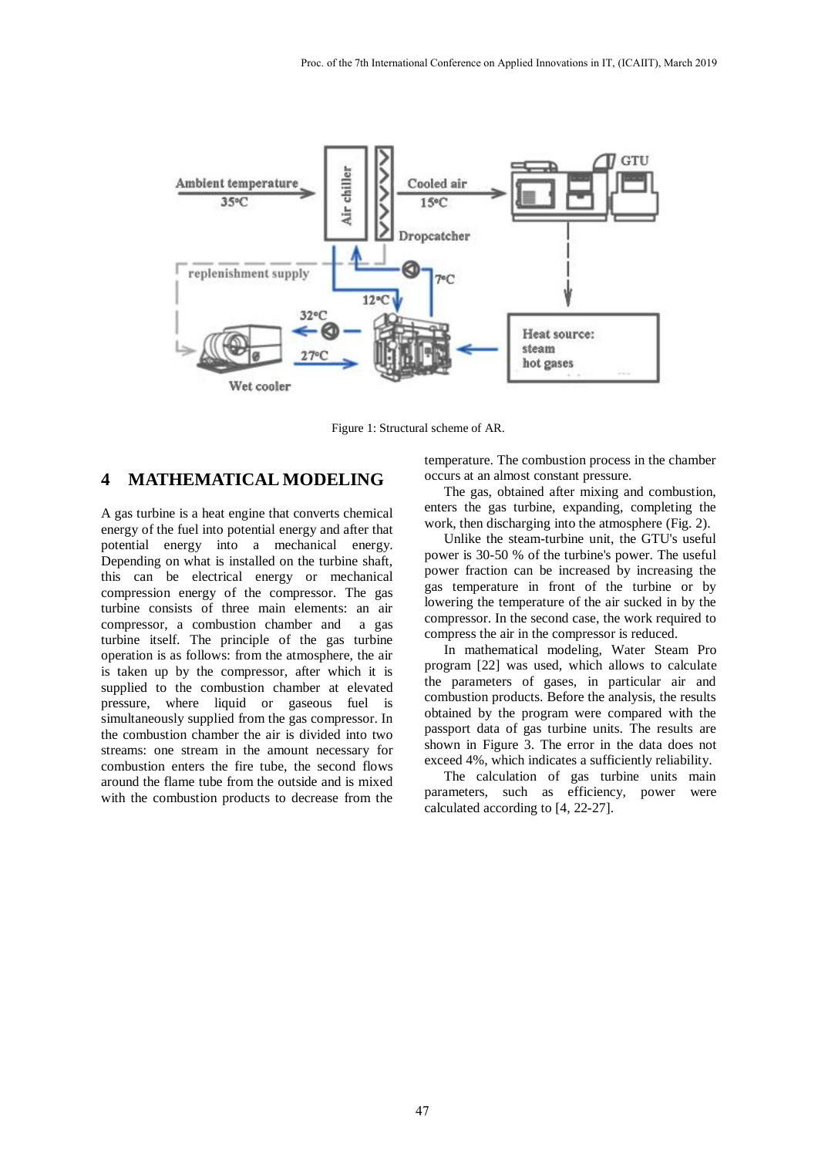

Figure 1: Structural scheme of AR.

# **4 MATHEMATICAL MODELING**

A gas turbine is a heat engine that converts chemical energy of the fuel into potential energy and after that potential energy into a mechanical energy. Depending on what is installed on the turbine shaft, this can be electrical energy or mechanical compression energy of the compressor. The gas turbine consists of three main elements: an air compressor, a combustion chamber and a gas turbine itself. The principle of the gas turbine operation is as follows: from the atmosphere, the air is taken up by the compressor, after which it is supplied to the combustion chamber at elevated pressure, where liquid or gaseous fuel is simultaneously supplied from the gas compressor. In the combustion chamber the air is divided into two streams: one stream in the amount necessary for combustion enters the fire tube, the second flows around the flame tube from the outside and is mixed with the combustion products to decrease from the

temperature. The combustion process in the chamber occurs at an almost constant pressure.

The gas, obtained after mixing and combustion, enters the gas turbine, expanding, completing the work, then discharging into the atmosphere (Fig. 2).

Unlike the steam-turbine unit, the GTU's useful power is 30-50 % of the turbine's power. The useful power fraction can be increased by increasing the gas temperature in front of the turbine or by lowering the temperature of the air sucked in by the compressor. In the second case, the work required to compress the air in the compressor is reduced.

In mathematical modeling, Water Steam Pro program [22] was used, which allows to calculate the parameters of gases, in particular air and combustion products. Before the analysis, the results obtained by the program were compared with the passport data of gas turbine units. The results are shown in Figure 3. The error in the data does not exceed 4%, which indicates a sufficiently reliability.

The calculation of gas turbine units main parameters, such as efficiency, power were calculated according to [4, 22-27].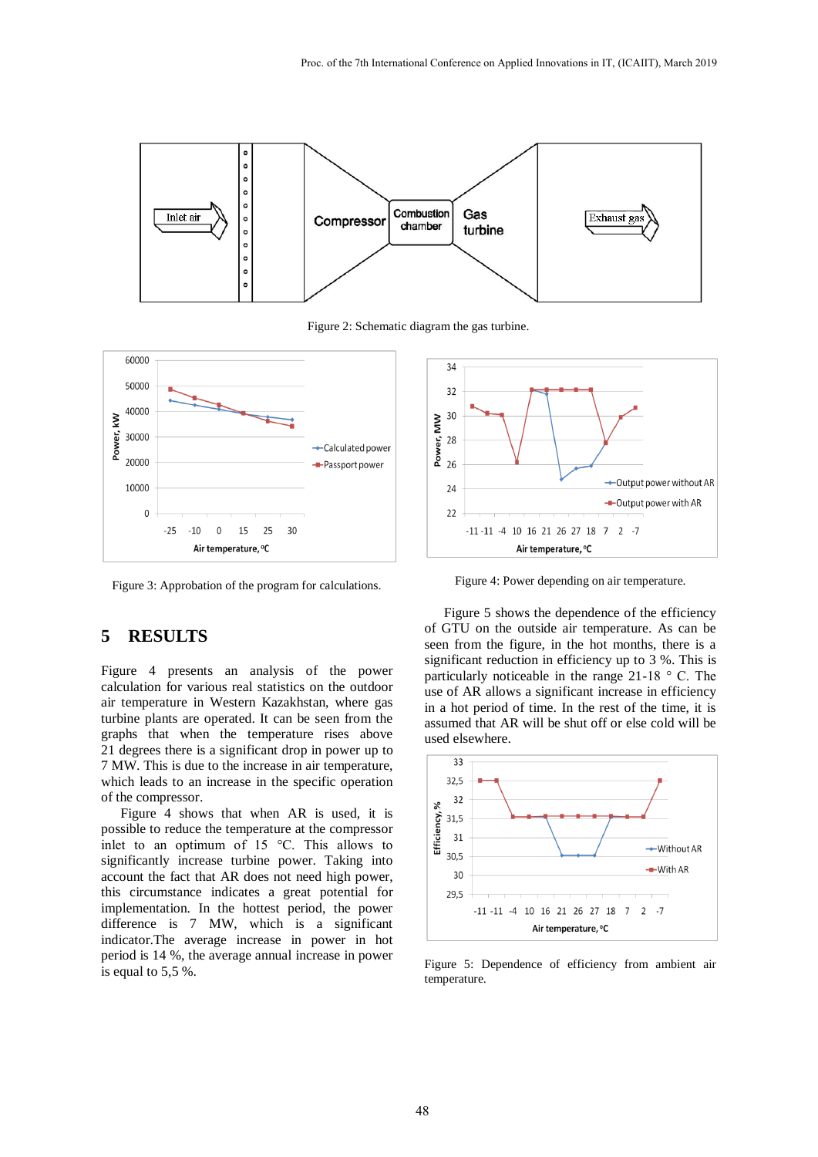

Figure 2: Schematic diagram the gas turbine.



Figure 3: Approbation of the program for calculations.

## **5 RESULTS**

Figure 4 presents an analysis of the power calculation for various real statistics on the outdoor air temperature in Western Kazakhstan, where gas turbine plants are operated. It can be seen from the graphs that when the temperature rises above 21 degrees there is a significant drop in power up to 7 MW. This is due to the increase in air temperature, which leads to an increase in the specific operation of the compressor.

Figure 4 shows that when AR is used, it is possible to reduce the temperature at the compressor inlet to an optimum of 15 °C. This allows to significantly increase turbine power. Taking into account the fact that AR does not need high power, this circumstance indicates a great potential for implementation. In the hottest period, the power difference is 7 MW, which is a significant indicator.The average increase in power in hot period is 14 %, the average annual increase in power is equal to 5,5 %.



Figure 4: Power depending on air temperature.

Figure 5 shows the dependence of the efficiency of GTU on the outside air temperature. As can be seen from the figure, in the hot months, there is a significant reduction in efficiency up to 3 %. This is particularly noticeable in the range 21-18 ° C. The use of AR allows a significant increase in efficiency in a hot period of time. In the rest of the time, it is assumed that AR will be shut off or else cold will be used elsewhere.



Figure 5: Dependence of efficiency from ambient air temperature.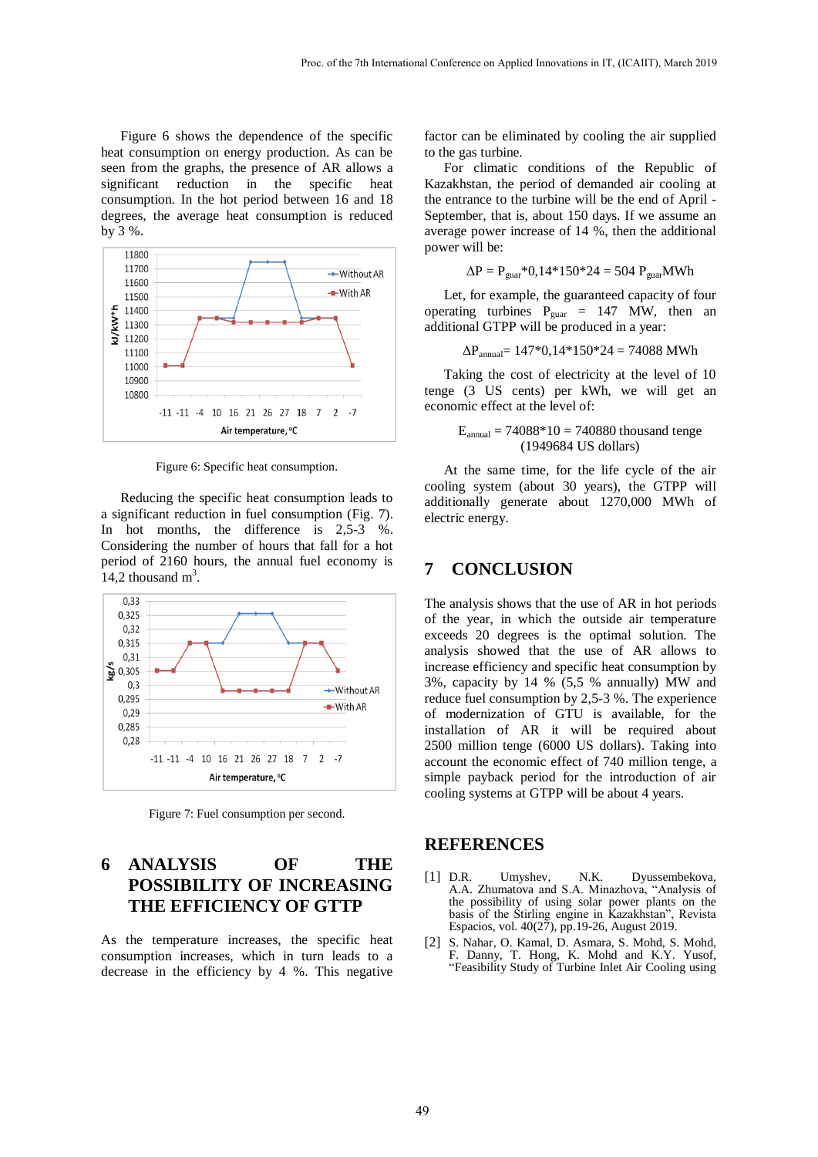Figure 6 shows the dependence of the specific heat consumption on energy production. As can be seen from the graphs, the presence of AR allows a significant reduction in the specific heat consumption. In the hot period between 16 and 18 degrees, the average heat consumption is reduced by 3 %.



Figure 6: Specific heat consumption.

Reducing the specific heat consumption leads to a significant reduction in fuel consumption (Fig. 7). In hot months, the difference is 2,5-3 %. Considering the number of hours that fall for a hot period of 2160 hours, the annual fuel economy is 14,2 thousand  $m^3$ .



Figure 7: Fuel consumption per second.

# **6 ANALYSIS OF THE POSSIBILITY OF INCREASING THE EFFICIENCY OF GTTP**

As the temperature increases, the specific heat consumption increases, which in turn leads to a decrease in the efficiency by 4 %. This negative

factor can be eliminated by cooling the air supplied to the gas turbine.

For climatic conditions of the Republic of Kazakhstan, the period of demanded air cooling at the entrance to the turbine will be the end of April - September, that is, about 150 days. If we assume an average power increase of 14 %, then the additional power will be:

$$
\Delta P = P_{\text{guar}} * 0,14 * 150 * 24 = 504 P_{\text{guar}} MWh
$$

Let, for example, the guaranteed capacity of four operating turbines  $P_{\text{max}} = 147$  MW, then an additional GTPP will be produced in a year:

$$
\Delta P_{annual} = 147*0,14*150*24 = 74088 \text{ MWh}
$$

Taking the cost of electricity at the level of 10 tenge (3 US cents) per kWh, we will get an economic effect at the level of:

$$
E_{\text{annual}} = 74088*10 = 740880
$$
 thousand tenge (1949684 US dollars)

At the same time, for the life cycle of the air cooling system (about 30 years), the GTPP will additionally generate about 1270,000 MWh of electric energy.

## **7 CONCLUSION**

The analysis shows that the use of AR in hot periods of the year, in which the outside air temperature exceeds 20 degrees is the optimal solution. The analysis showed that the use of AR allows to increase efficiency and specific heat consumption by 3%, capacity by 14 % (5,5 % annually) MW and reduce fuel consumption by 2,5-3 %. The experience of modernization of GTU is available, for the installation of AR it will be required about 2500 million tenge (6000 US dollars). Taking into account the economic effect of 740 million tenge, a simple payback period for the introduction of air cooling systems at GTPP will be about 4 years.

#### **REFERENCES**

- [1] D.R. Umyshev, N.K. Dyussembekova, A.A. Zhumatova and S.A. Minazhova, "Analysis of the possibility of using solar power plants on the basis of the Stirling engine in Kazakhstan", Revista Espacios, vol. 40(27), pp.19-26, August 2019.
- [2] S. Nahar, O. Kamal, D. Asmara, S. Mohd, S. Mohd, F. Danny, T. Hong, K. Mohd and K.Y. Yusof, "Feasibility Study of Turbine Inlet Air Cooling using